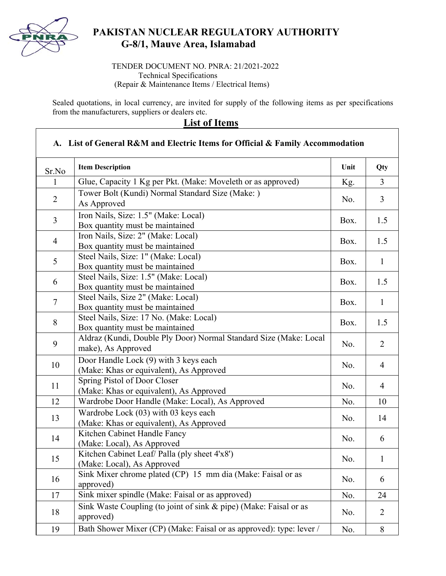

## **PAKISTAN NUCLEAR REGULATORY AUTHORITY G-8/1, Mauve Area, Islamabad**

TENDER DOCUMENT NO. PNRA: 21/2021-2022 Technical Specifications (Repair & Maintenance Items / Electrical Items)

Sealed quotations, in local currency, are invited for supply of the following items as per specifications from the manufacturers, suppliers or dealers etc.

**List of Items** 

## **A. List of General R&M and Electric Items for Official & Family Accommodation**  Sr.No **Item Description** Unit Qty 1 Glue, Capacity 1 Kg per Pkt. (Make: Moveleth or as approved)  $Kg.$   $\begin{array}{|l} \hline \end{array}$ <sup>2</sup>Tower Bolt (Kundi) Normal Standard Size (Make: ) As Approved No. 3 3 Iron Nails, Size: 1.5" (Make: Local) Box quantity must be maintained Box. 1.5 4 Iron Nails, Size: 2" (Make: Local) Box quantity must be maintained Box. 1.5 5 Steel Nails, Size: 1" (Make: Local)  $\begin{array}{c|c}\n\text{Box.} & \text{Box.} \\
\text{Box} & \text{Dox.} \\
\end{array}$  1  $\begin{array}{|l|} \hline 6 & \text{Steel Nails, Size: 1.5" (Make: Local)} \hline \end{array}$  $\begin{array}{c|c|c|c|c} \text{Box.} & \text{Box.} & \text{1.5} \\ \hline \end{array}$ 7 Steel Nails, Size 2" (Make: Local)  $\begin{array}{c|c|c|c|c} \text{Box.} & \text{Box.} & 1 \end{array}$  Box. 1 8 Steel Nails, Size: 17 No. (Make: Local) Box quantity must be maintained Box. 1.5 <sup>9</sup>Aldraz (Kundi, Double Ply Door) Normal Standard Size (Make: Local make), As Approved No. 2 10 Door Handle Lock  $(9)$  with 3 keys each (Make: Khas or equivalent), As Approved No. 4 11 Spring Pistol of Door Closer Spring 1 istoi of Door Croser<br>(Make: Khas or equivalent), As Approved No. 4 12 Wardrobe Door Handle (Make: Local), As Approved No. | No. | 10 Wardrobe Lock (03) with 03 keys each  $\frac{14}{\text{Make: Khas or equivalent}}$ , As Approved 14 Kitchen Cabinet Handle Fancy No. 6<br>(Make: Local), As Approved No. 6 15 Kitchen Cabinet Leaf/ Palla (ply sheet 4'x8') (Make: Local), As Approved No. 1 16 Sink Mixer chrome plated (CP) 15 mm dia (Make: Faisal or as No. | 6 17 Sink mixer spindle (Make: Faisal or as approved) No. 24 18 Sink Waste Coupling (to joint of sink & pipe) (Make: Faisal or as No. 2 19 Bath Shower Mixer (CP) (Make: Faisal or as approved): type: lever  $/ \parallel N_0 \parallel 8$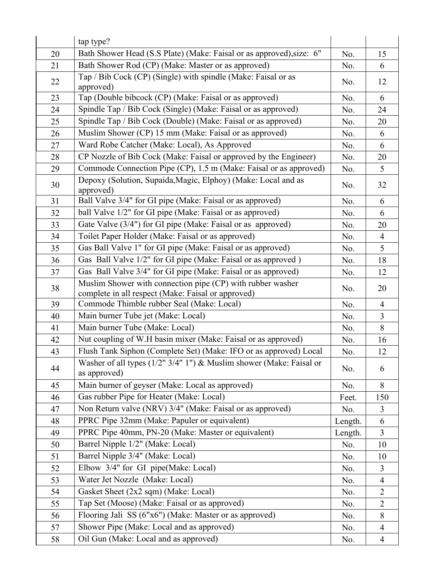|    | tap type?                                                                                                        |         |                |
|----|------------------------------------------------------------------------------------------------------------------|---------|----------------|
| 20 | Bath Shower Head (S.S Plate) (Make: Faisal or as approved), size: 6"                                             | No.     | 15             |
| 21 | Bath Shower Rod (CP) (Make: Master or as approved)                                                               | No.     | 6              |
| 22 | Tap / Bib Cock (CP) (Single) with spindle (Make: Faisal or as<br>approved)                                       | No.     | 12             |
| 23 | Tap (Double bibcock (CP) (Make: Faisal or as approved)                                                           | No.     | 6              |
| 24 | Spindle Tap / Bib Cock (Single) (Make: Faisal or as approved)                                                    | No.     | 24             |
| 25 | Spindle Tap / Bib Cock (Double) (Make: Faisal or as approved)                                                    | No.     | 20             |
| 26 | Muslim Shower (CP) 15 mm (Make: Faisal or as approved)                                                           | No.     | 6              |
| 27 | Ward Robe Catcher (Make: Local), As Approved                                                                     | No.     | 6              |
| 28 | CP Nozzle of Bib Cock (Make: Faisal or approved by the Engineer)                                                 | No.     | 20             |
| 29 | Commode Connection Pipe (CP), 1.5 m (Make: Faisal or as approved)                                                | No.     | 5              |
| 30 | Depoxy (Solution, Supaida, Magic, Elphoy) (Make: Local and as<br>approved)                                       | No.     | 32             |
| 31 | Ball Valve 3/4" for GI pipe (Make: Faisal or as approved)                                                        | No.     | 6              |
| 32 | ball Valve 1/2" for GI pipe (Make: Faisal or as approved)                                                        | No.     | 6              |
| 33 | Gate Valve (3/4") for GI pipe (Make: Faisal or as approved)                                                      | No.     | 20             |
| 34 | Toilet Paper Holder (Make: Faisal or as approved)                                                                | No.     | $\overline{4}$ |
| 35 | Gas Ball Valve 1" for GI pipe (Make: Faisal or as approved)                                                      | No.     | 5              |
| 36 | Gas Ball Valve 1/2" for GI pipe (Make: Faisal or as approved)                                                    | No.     | 18             |
| 37 | Gas Ball Valve 3/4" for GI pipe (Make: Faisal or as approved)                                                    | No.     | 12             |
| 38 | Muslim Shower with connection pipe (CP) with rubber washer<br>complete in all respect (Make: Faisal or approved) | No.     | 20             |
| 39 | Commode Thimble rubber Seal (Make: Local)                                                                        | No.     | $\overline{4}$ |
| 40 | Main burner Tube jet (Make: Local)                                                                               | No.     | $\overline{3}$ |
| 41 | Main burner Tube (Make: Local)                                                                                   | No.     | 8              |
| 42 | Nut coupling of W.H basin mixer (Make: Faisal or as approved)                                                    | No.     | 16             |
| 43 | Flush Tank Siphon (Complete Set) (Make: IFO or as approved) Local                                                | No.     | 12             |
| 44 | Washer of all types $(1/2'')3/4''1'')$ & Muslim shower (Make: Faisal or<br>as approved)                          | No.     | 6              |
| 45 | Main burner of geyser (Make: Local as approved)                                                                  | No.     | 8              |
| 46 | Gas rubber Pipe for Heater (Make: Local)                                                                         | Feet.   | 150            |
| 47 | Non Return valve (NRV) 3/4" (Make: Faisal or as approved)                                                        | No.     | $\overline{3}$ |
| 48 | PPRC Pipe 32mm (Make: Papuler or equivalent)                                                                     | Length. | 6              |
| 49 | PPRC Pipe 40mm, PN-20 (Make: Master or equivalent)                                                               | Length. | $\overline{3}$ |
| 50 | Barrel Nipple 1/2" (Make: Local)                                                                                 | No.     | 10             |
| 51 | Barrel Nipple 3/4" (Make: Local)                                                                                 | No.     | 10             |
| 52 | Elbow 3/4" for GI pipe(Make: Local)                                                                              | No.     | 3              |
| 53 | Water Jet Nozzle (Make: Local)                                                                                   | No.     | $\overline{4}$ |
| 54 | Gasket Sheet (2x2 sqm) (Make: Local)                                                                             | No.     | $\overline{2}$ |
| 55 | Tap Set (Moose) (Make: Faisal or as approved)                                                                    | No.     | $\overline{2}$ |
| 56 | Flooring Jali SS (6"x6") (Make: Master or as approved)                                                           | No.     | 8              |
| 57 | Shower Pipe (Make: Local and as approved)                                                                        | No.     | $\overline{4}$ |
| 58 | Oil Gun (Make: Local and as approved)                                                                            | No.     | $\overline{4}$ |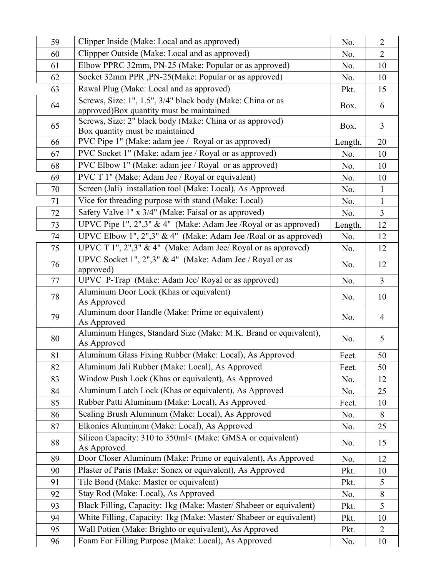| 59 | Clipper Inside (Make: Local and as approved)                                                           | No.     | $\overline{2}$ |
|----|--------------------------------------------------------------------------------------------------------|---------|----------------|
| 60 | Clippper Outside (Make: Local and as approved)                                                         | No.     | $\overline{2}$ |
| 61 | Elbow PPRC 32mm, PN-25 (Make: Popular or as approved)                                                  | No.     | 10             |
| 62 | Socket 32mm PPR , PN-25(Make: Popular or as approved)                                                  | No.     | 10             |
| 63 | Rawal Plug (Make: Local and as approved)                                                               | Pkt.    | 15             |
| 64 | Screws, Size: 1", 1.5", 3/4" black body (Make: China or as<br>approved)Box quantity must be maintained | Box.    | 6              |
| 65 | Screws, Size: 2" black body (Make: China or as approved)<br>Box quantity must be maintained            | Box.    | 3              |
| 66 | PVC Pipe 1" (Make: adam jee / Royal or as approved)                                                    | Length. | 20             |
| 67 | PVC Socket 1" (Make: adam jee / Royal or as approved)                                                  | No.     | 10             |
| 68 | PVC Elbow 1" (Make: adam jee / Royal or as approved)                                                   | No.     | 10             |
| 69 | PVC T 1" (Make: Adam Jee / Royal or equivalent)                                                        | No.     | 10             |
| 70 | Screen (Jali) installation tool (Make: Local), As Approved                                             | No.     | $\mathbf{1}$   |
| 71 | Vice for threading purpose with stand (Make: Local)                                                    | No.     | $\mathbf{1}$   |
| 72 | Safety Valve 1" x 3/4" (Make: Faisal or as approved)                                                   | No.     | $\overline{3}$ |
| 73 | UPVC Pipe 1", 2",3" & 4" (Make: Adam Jee /Royal or as approved)                                        | Length. | 12             |
| 74 | UPVC Elbow 1", 2",3" & 4" (Make: Adam Jee /Roal or as approved)                                        | No.     | 12             |
| 75 | UPVC T 1", 2",3" & 4" (Make: Adam Jee/ Royal or as approved)                                           | No.     | 12             |
| 76 | UPVC Socket 1", 2",3" & 4" (Make: Adam Jee / Royal or as<br>approved)                                  | No.     | 12             |
| 77 | UPVC P-Trap (Make: Adam Jee/ Royal or as approved)                                                     | No.     | $\mathfrak{Z}$ |
| 78 | Aluminum Door Lock (Khas or equivalent)<br>As Approved                                                 | No.     | 10             |
| 79 | Aluminum door Handle (Make: Prime or equivalent)<br>As Approved                                        | No.     | $\overline{4}$ |
| 80 | Aluminum Hinges, Standard Size (Make: M.K. Brand or equivalent),<br>As Approved                        | No.     | 5              |
| 81 | Aluminum Glass Fixing Rubber (Make: Local), As Approved                                                | Feet.   | 50             |
| 82 | Aluminum Jali Rubber (Make: Local), As Approved                                                        | Feet.   | 50             |
| 83 | Window Push Lock (Khas or equivalent), As Approved                                                     | No.     | 12             |
| 84 | Aluminum Latch Lock (Khas or equivalent), As Approved                                                  | No.     | 25             |
| 85 | Rubber Patti Aluminum (Make: Local), As Approved                                                       | Feet.   | 10             |
| 86 | Sealing Brush Aluminum (Make: Local), As Approved                                                      | No.     | 8              |
| 87 | Elkonies Aluminum (Make: Local), As Approved                                                           | No.     | 25             |
| 88 | Silicon Capacity: 310 to 350ml< (Make: GMSA or equivalent)<br>As Approved                              | No.     | 15             |
| 89 | Door Closer Aluminum (Make: Prime or equivalent), As Approved                                          | No.     | 12             |
| 90 | Plaster of Paris (Make: Sonex or equivalent), As Approved                                              | Pkt.    | 10             |
| 91 | Tile Bond (Make: Master or equivalent)                                                                 | Pkt.    | 5              |
| 92 | Stay Rod (Make: Local), As Approved                                                                    | No.     | 8              |
| 93 | Black Filling, Capacity: 1kg (Make: Master/ Shabeer or equivalent)                                     | Pkt.    | 5              |
| 94 | White Filling, Capacity: 1kg (Make: Master/ Shabeer or equivalent)                                     | Pkt.    | 10             |
| 95 | Wall Potien (Make: Brighto or equivalent), As Approved                                                 | Pkt.    | $\overline{2}$ |
| 96 | Foam For Filling Purpose (Make: Local), As Approved                                                    | No.     | 10             |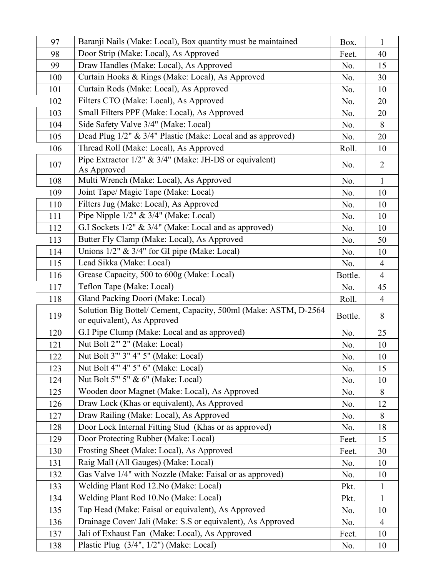| 97  | Baranji Nails (Make: Local), Box quantity must be maintained                                    | Box.    | $\mathbf{1}$   |
|-----|-------------------------------------------------------------------------------------------------|---------|----------------|
| 98  | Door Strip (Make: Local), As Approved                                                           | Feet.   | 40             |
| 99  | Draw Handles (Make: Local), As Approved                                                         | No.     | 15             |
| 100 | Curtain Hooks & Rings (Make: Local), As Approved                                                | No.     | 30             |
| 101 | Curtain Rods (Make: Local), As Approved                                                         | No.     | 10             |
| 102 | Filters CTO (Make: Local), As Approved                                                          | No.     | 20             |
| 103 | Small Filters PPF (Make: Local), As Approved                                                    | No.     | 20             |
| 104 | Side Safety Valve 3/4" (Make: Local)                                                            | No.     | 8              |
| 105 | Dead Plug 1/2" & 3/4" Plastic (Make: Local and as approved)                                     | No.     | 20             |
| 106 | Thread Roll (Make: Local), As Approved                                                          | Roll.   | 10             |
| 107 | Pipe Extractor 1/2" & 3/4" (Make: JH-DS or equivalent)<br>As Approved                           | No.     | $\overline{2}$ |
| 108 | Multi Wrench (Make: Local), As Approved                                                         | No.     | $\mathbf{1}$   |
| 109 | Joint Tape/ Magic Tape (Make: Local)                                                            | No.     | 10             |
| 110 | Filters Jug (Make: Local), As Approved                                                          | No.     | 10             |
| 111 | Pipe Nipple $1/2$ " & $3/4$ " (Make: Local)                                                     | No.     | 10             |
| 112 | G.I Sockets 1/2" & 3/4" (Make: Local and as approved)                                           | No.     | 10             |
| 113 | Butter Fly Clamp (Make: Local), As Approved                                                     | No.     | 50             |
| 114 | Unions $1/2$ " & $3/4$ " for GI pipe (Make: Local)                                              | No.     | 10             |
| 115 | Lead Sikka (Make: Local)                                                                        | No.     | $\overline{4}$ |
| 116 | Grease Capacity, 500 to 600g (Make: Local)                                                      | Bottle. | $\overline{4}$ |
| 117 | Teflon Tape (Make: Local)                                                                       | No.     | 45             |
| 118 | Gland Packing Doori (Make: Local)                                                               | Roll.   | $\overline{4}$ |
| 119 | Solution Big Bottel/ Cement, Capacity, 500ml (Make: ASTM, D-2564<br>or equivalent), As Approved | Bottle. | 8              |
| 120 | G.I Pipe Clump (Make: Local and as approved)                                                    | No.     | 25             |
| 121 | Nut Bolt 2"' 2" (Make: Local)                                                                   | No.     | 10             |
| 122 | Nut Bolt 3" 3" 4" 5" (Make: Local)                                                              |         |                |
|     |                                                                                                 | No.     | 10             |
| 123 | Nut Bolt 4" 4" 5" 6" (Make: Local)                                                              | No.     | 15             |
| 124 | Nut Bolt 5" 5" & 6" (Make: Local)                                                               | No.     | 10             |
| 125 | Wooden door Magnet (Make: Local), As Approved                                                   | No.     | 8              |
| 126 | Draw Lock (Khas or equivalent), As Approved                                                     | No.     | 12             |
| 127 | Draw Railing (Make: Local), As Approved                                                         | No.     | 8              |
| 128 | Door Lock Internal Fitting Stud (Khas or as approved)                                           | No.     | 18             |
| 129 | Door Protecting Rubber (Make: Local)                                                            | Feet.   | 15             |
| 130 | Frosting Sheet (Make: Local), As Approved                                                       | Feet.   | 30             |
| 131 | Raig Mall (All Gauges) (Make: Local)                                                            | No.     | 10             |
| 132 | Gas Valve 1/4" with Nozzle (Make: Faisal or as approved)                                        | No.     | 10             |
| 133 | Welding Plant Rod 12. No (Make: Local)                                                          | Pkt.    | $\mathbf{1}$   |
| 134 | Welding Plant Rod 10.No (Make: Local)                                                           | Pkt.    | $\mathbf{1}$   |
| 135 | Tap Head (Make: Faisal or equivalent), As Approved                                              | No.     | 10             |
| 136 | Drainage Cover/ Jali (Make: S.S or equivalent), As Approved                                     | No.     | $\overline{4}$ |
| 137 | Jali of Exhaust Fan (Make: Local), As Approved                                                  | Feet.   | 10             |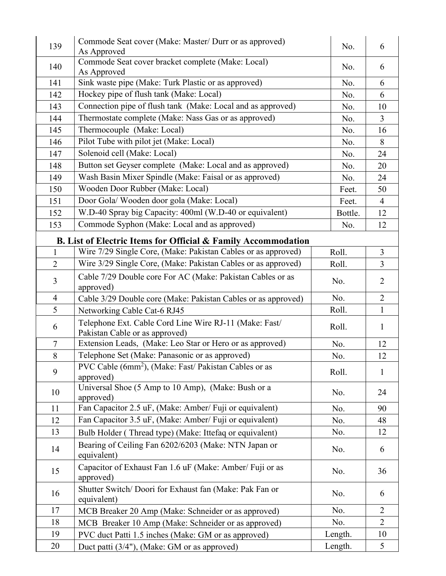| 139            | Commode Seat cover (Make: Master/ Durr or as approved)<br>As Approved                    | No.     | 6              |
|----------------|------------------------------------------------------------------------------------------|---------|----------------|
| 140            | Commode Seat cover bracket complete (Make: Local)<br>As Approved                         | No.     | 6              |
| 141            | Sink waste pipe (Make: Turk Plastic or as approved)                                      | No.     | 6              |
| 142            | Hockey pipe of flush tank (Make: Local)                                                  | No.     | 6              |
| 143            | Connection pipe of flush tank (Make: Local and as approved)                              | No.     | 10             |
| 144            | Thermostate complete (Make: Nass Gas or as approved)                                     | No.     | $\overline{3}$ |
| 145            | Thermocouple (Make: Local)                                                               | No.     | 16             |
| 146            | Pilot Tube with pilot jet (Make: Local)                                                  | No.     | 8              |
| 147            | Solenoid cell (Make: Local)                                                              | No.     | 24             |
| 148            | Button set Geyser complete (Make: Local and as approved)                                 | No.     | 20             |
| 149            | Wash Basin Mixer Spindle (Make: Faisal or as approved)                                   | No.     | 24             |
| 150            | Wooden Door Rubber (Make: Local)                                                         | Feet.   | 50             |
| 151            | Door Gola/Wooden door gola (Make: Local)                                                 | Feet.   | $\overline{4}$ |
| 152            | W.D-40 Spray big Capacity: 400ml (W.D-40 or equivalent)                                  | Bottle. | 12             |
| 153            | Commode Syphon (Make: Local and as approved)                                             | No.     | 12             |
|                | <b>B.</b> List of Electric Items for Official & Family Accommodation                     |         |                |
| $\mathbf{1}$   | Wire 7/29 Single Core, (Make: Pakistan Cables or as approved)                            | Roll.   | $\overline{3}$ |
| $\overline{2}$ | Wire 3/29 Single Core, (Make: Pakistan Cables or as approved)                            | Roll.   | $\overline{3}$ |
| $\overline{3}$ | Cable 7/29 Double core For AC (Make: Pakistan Cables or as<br>approved)                  | No.     | $\overline{2}$ |
| $\overline{4}$ | Cable 3/29 Double core (Make: Pakistan Cables or as approved)                            | No.     | $\overline{2}$ |
| 5              | Networking Cable Cat-6 RJ45                                                              | Roll.   | $\mathbf{1}$   |
| 6              | Telephone Ext. Cable Cord Line Wire RJ-11 (Make: Fast/<br>Pakistan Cable or as approved) | Roll.   | $\mathbf{1}$   |
| $\tau$         | Extension Leads, (Make: Leo Star or Hero or as approved)                                 | No.     | 12             |
| 8              | Telephone Set (Make: Panasonic or as approved)                                           | No.     | 12             |
| 9              | PVC Cable (6mm <sup>2</sup> ), (Make: Fast/ Pakistan Cables or as<br>approved)           | Roll.   | $\mathbf{1}$   |
| 10             | Universal Shoe (5 Amp to 10 Amp), (Make: Bush or a<br>approved)                          | No.     | 24             |
| 11             | Fan Capacitor 2.5 uF, (Make: Amber/ Fuji or equivalent)                                  | No.     | 90             |
| 12             | Fan Capacitor 3.5 uF, (Make: Amber/ Fuji or equivalent)                                  | No.     | 48             |
| 13             | Bulb Holder (Thread type) (Make: Ittefaq or equivalent)                                  | No.     | 12             |
| 14             | Bearing of Ceiling Fan 6202/6203 (Make: NTN Japan or<br>equivalent)                      | No.     | 6              |
| 15             | Capacitor of Exhaust Fan 1.6 uF (Make: Amber/ Fuji or as<br>approved)                    | No.     | 36             |
| 16             | Shutter Switch/ Doori for Exhaust fan (Make: Pak Fan or<br>equivalent)                   | No.     | 6              |
| 17             | MCB Breaker 20 Amp (Make: Schneider or as approved)                                      | No.     | $\overline{2}$ |
| 18             | MCB Breaker 10 Amp (Make: Schneider or as approved)                                      | No.     | $\overline{2}$ |
| 19             | PVC duct Patti 1.5 inches (Make: GM or as approved)                                      | Length. | 10             |
| 20             | Duct patti (3/4"), (Make: GM or as approved)                                             | Length. | 5              |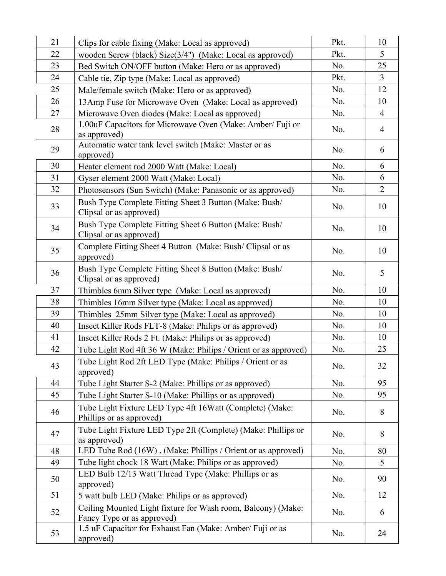| 21 | Clips for cable fixing (Make: Local as approved)                                           | Pkt. | 10             |
|----|--------------------------------------------------------------------------------------------|------|----------------|
| 22 | wooden Screw (black) Size(3/4") (Make: Local as approved)                                  | Pkt. | 5              |
| 23 | Bed Switch ON/OFF button (Make: Hero or as approved)                                       | No.  | 25             |
| 24 | Cable tie, Zip type (Make: Local as approved)                                              | Pkt. | $\overline{3}$ |
| 25 | Male/female switch (Make: Hero or as approved)                                             | No.  | 12             |
| 26 | 13Amp Fuse for Microwave Oven (Make: Local as approved)                                    | No.  | 10             |
| 27 | Microwave Oven diodes (Make: Local as approved)                                            | No.  | $\overline{4}$ |
| 28 | 1.00uF Capacitors for Microwave Oven (Make: Amber/ Fuji or<br>as approved)                 | No.  | $\overline{4}$ |
| 29 | Automatic water tank level switch (Make: Master or as<br>approved)                         | No.  | 6              |
| 30 | Heater element rod 2000 Watt (Make: Local)                                                 | No.  | 6              |
| 31 | Gyser element 2000 Watt (Make: Local)                                                      | No.  | 6              |
| 32 | Photosensors (Sun Switch) (Make: Panasonic or as approved)                                 | No.  | $\overline{2}$ |
| 33 | Bush Type Complete Fitting Sheet 3 Button (Make: Bush/<br>Clipsal or as approved)          | No.  | 10             |
| 34 | Bush Type Complete Fitting Sheet 6 Button (Make: Bush/<br>Clipsal or as approved)          | No.  | 10             |
| 35 | Complete Fitting Sheet 4 Button (Make: Bush/ Clipsal or as<br>approved)                    | No.  | 10             |
| 36 | Bush Type Complete Fitting Sheet 8 Button (Make: Bush/<br>Clipsal or as approved)          | No.  | 5              |
| 37 | Thimbles 6mm Silver type (Make: Local as approved)                                         | No.  | 10             |
| 38 | Thimbles 16mm Silver type (Make: Local as approved)                                        | No.  | 10             |
| 39 | Thimbles 25mm Silver type (Make: Local as approved)                                        | No.  | 10             |
| 40 | Insect Killer Rods FLT-8 (Make: Philips or as approved)                                    | No.  | 10             |
| 41 | Insect Killer Rods 2 Ft. (Make: Philips or as approved)                                    | No.  | 10             |
| 42 | Tube Light Rod 4ft 36 W (Make: Philips / Orient or as approved)                            | No.  | 25             |
| 43 | Tube Light Rod 2ft LED Type (Make: Philips / Orient or as<br>approved)                     | No.  | 32             |
| 44 | Tube Light Starter S-2 (Make: Phillips or as approved)                                     | No.  | 95             |
| 45 | Tube Light Starter S-10 (Make: Phillips or as approved)                                    | No.  | 95             |
| 46 | Tube Light Fixture LED Type 4ft 16Watt (Complete) (Make:<br>Phillips or as approved)       | No.  | 8              |
| 47 | Tube Light Fixture LED Type 2ft (Complete) (Make: Phillips or<br>as approved)              | No.  | 8              |
| 48 | LED Tube Rod (16W), (Make: Phillips / Orient or as approved)                               | No.  | 80             |
| 49 | Tube light chock 18 Watt (Make: Philips or as approved)                                    | No.  | 5 <sup>5</sup> |
| 50 | LED Bulb 12/13 Watt Thread Type (Make: Phillips or as<br>approved)                         | No.  | 90             |
| 51 | 5 watt bulb LED (Make: Philips or as approved)                                             | No.  | 12             |
| 52 | Ceiling Mounted Light fixture for Wash room, Balcony) (Make:<br>Fancy Type or as approved) | No.  | 6              |
| 53 | 1.5 uF Capacitor for Exhaust Fan (Make: Amber/ Fuji or as<br>approved)                     | No.  | 24             |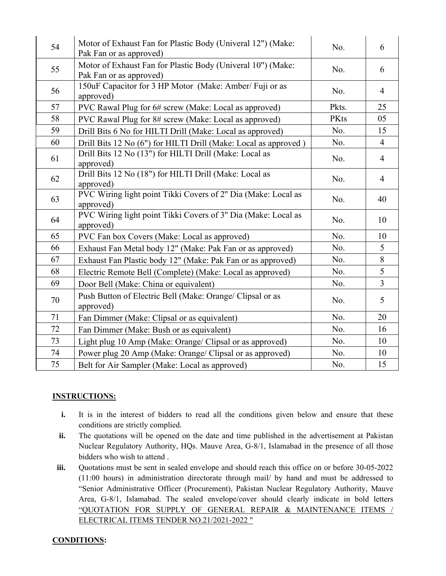| 54 | Motor of Exhaust Fan for Plastic Body (Univeral 12") (Make:<br>Pak Fan or as approved) | No.   | 6              |
|----|----------------------------------------------------------------------------------------|-------|----------------|
| 55 | Motor of Exhaust Fan for Plastic Body (Univeral 10") (Make:<br>Pak Fan or as approved) | No.   | 6              |
| 56 | 150uF Capacitor for 3 HP Motor (Make: Amber/ Fuji or as<br>approved)                   | No.   | $\overline{4}$ |
| 57 | PVC Rawal Plug for 6# screw (Make: Local as approved)                                  | Pkts. | 25             |
| 58 | PVC Rawal Plug for 8# screw (Make: Local as approved)                                  | PKts  | 05             |
| 59 | Drill Bits 6 No for HILTI Drill (Make: Local as approved)                              | No.   | 15             |
| 60 | Drill Bits 12 No (6") for HILTI Drill (Make: Local as approved)                        | No.   | $\overline{4}$ |
| 61 | Drill Bits 12 No (13") for HILTI Drill (Make: Local as<br>approved)                    | No.   | $\overline{4}$ |
| 62 | Drill Bits 12 No (18") for HILTI Drill (Make: Local as<br>approved)                    | No.   | $\overline{4}$ |
| 63 | PVC Wiring light point Tikki Covers of 2" Dia (Make: Local as<br>approved)             | No.   | 40             |
| 64 | PVC Wiring light point Tikki Covers of 3" Dia (Make: Local as<br>approved)             | No.   | 10             |
| 65 | PVC Fan box Covers (Make: Local as approved)                                           | No.   | 10             |
| 66 | Exhaust Fan Metal body 12" (Make: Pak Fan or as approved)                              | No.   | 5              |
| 67 | Exhaust Fan Plastic body 12" (Make: Pak Fan or as approved)                            | No.   | 8              |
| 68 | Electric Remote Bell (Complete) (Make: Local as approved)                              | No.   | 5              |
| 69 | Door Bell (Make: China or equivalent)                                                  | No.   | $\overline{3}$ |
| 70 | Push Button of Electric Bell (Make: Orange/ Clipsal or as<br>approved)                 | No.   | 5              |
| 71 | Fan Dimmer (Make: Clipsal or as equivalent)                                            | No.   | 20             |
| 72 | Fan Dimmer (Make: Bush or as equivalent)                                               | No.   | 16             |
| 73 | Light plug 10 Amp (Make: Orange/ Clipsal or as approved)                               | No.   | 10             |
| 74 | Power plug 20 Amp (Make: Orange/ Clipsal or as approved)                               | No.   | 10             |
| 75 | Belt for Air Sampler (Make: Local as approved)                                         | No.   | 15             |

## **INSTRUCTIONS:**

- **i.** It is in the interest of bidders to read all the conditions given below and ensure that these conditions are strictly complied.
- **ii.** The quotations will be opened on the date and time published in the advertisement at Pakistan Nuclear Regulatory Authority, HQs. Mauve Area, G-8/1, Islamabad in the presence of all those bidders who wish to attend .
- **iii.** Quotations must be sent in sealed envelope and should reach this office on or before 30-05-2022 (11:00 hours) in administration directorate through mail/ by hand and must be addressed to "Senior Administrative Officer (Procurement), Pakistan Nuclear Regulatory Authority, Mauve Area, G-8/1, Islamabad. The sealed envelope/cover should clearly indicate in bold letters "QUOTATION FOR SUPPLY OF GENERAL REPAIR & MAINTENANCE ITEMS / ELECTRICAL ITEMS TENDER NO.21/2021-2022 "

## **CONDITIONS:**